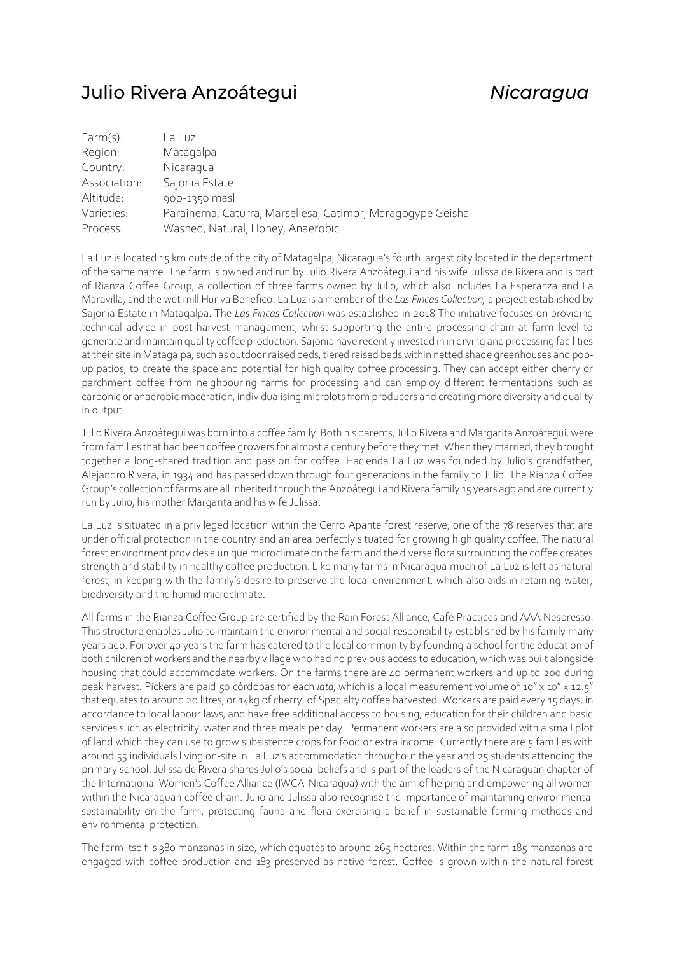## Julio Rivera Anzoátegui *Nicaragua*

| Farm(s):     | La Luz                                                     |
|--------------|------------------------------------------------------------|
| Region:      | Matagalpa                                                  |
| Country:     | Nicaragua                                                  |
| Association: | Sajonia Estate                                             |
| Altitude:    | 900-1350 masl                                              |
| Varieties:   | Parainema, Caturra, Marsellesa, Catimor, Maragogype Geisha |
| Process:     | Washed, Natural, Honey, Anaerobic                          |

La Luz is located 15 km outside of the city of Matagalpa, Nicaragua's fourth largest city located in the department of the same name. The farm is owned and run by Julio Rivera Anzoátegui and his wife Julissa de Rivera and is part of Rianza Coffee Group, a collection of three farms owned by Julio, which also includes La Esperanza and La Maravilla, and the wet mill Huriva Benefico. La Luz is a member of the *Las Fincas Collection,* a project established by Sajonia Estate in Matagalpa. The *Las Fincas Collection* was established in 2018 The initiative focuses on providing technical advice in post-harvest management, whilst supporting the entire processing chain at farm level to generate and maintain quality coffee production. Sajonia have recently invested in in drying and processing facilities at their site in Matagalpa, such as outdoor raised beds, tiered raised beds within netted shade greenhouses and popup patios, to create the space and potential for high quality coffee processing. They can accept either cherry or parchment coffee from neighbouring farms for processing and can employ different fermentations such as carbonic or anaerobic maceration, individualising microlots from producers and creating more diversity and quality in output.

Julio Rivera Anzoátegui was born into a coffee family. Both his parents, Julio Rivera and Margarita Anzoátegui, were from families that had been coffee growers for almost a century before they met. When they married, they brought together a long-shared tradition and passion for coffee. Hacienda La Luz was founded by Julio's grandfather, Alejandro Rivera, in 1934 and has passed down through four generations in the family to Julio. The Rianza Coffee Group's collection of farms are all inherited through the Anzoátegui and Rivera family 15 years ago and are currently run by Julio, his mother Margarita and his wife Julissa.

La Luz is situated in a privileged location within the Cerro Apante forest reserve, one of the 78 reserves that are under official protection in the country and an area perfectly situated for growing high quality coffee. The natural forest environment provides a unique microclimate on the farm and the diverse flora surrounding the coffee creates strength and stability in healthy coffee production. Like many farms in Nicaragua much of La Luz is left as natural forest, in-keeping with the family's desire to preserve the local environment, which also aids in retaining water, biodiversity and the humid microclimate.

All farms in the Rianza Coffee Group are certified by the Rain Forest Alliance, Café Practices and AAA Nespresso. This structure enables Julio to maintain the environmental and social responsibility established by his family many years ago. For over 40 years the farm has catered to the local community by founding a school for the education of both children of workers and the nearby village who had no previous access to education, which was built alongside housing that could accommodate workers. On the farms there are 40 permanent workers and up to 200 during peak harvest. Pickers are paid 50 córdobas for each *lata*, which is a local measurement volume of 10" x 10" x 12.5" that equates to around 20 litres, or 14kg of cherry, of Specialty coffee harvested. Workers are paid every 15 days, in accordance to local labour laws, and have free additional access to housing, education for their children and basic services such as electricity, water and three meals per day. Permanent workers are also provided with a small plot of land which they can use to grow subsistence crops for food or extra income. Currently there are 5 families with around 55 individuals living on-site in La Luz's accommodation throughout the year and 25 students attending the primary school. Julissa de Rivera shares Julio's social beliefs and is part of the leaders of the Nicaraguan chapter of the International Women's Coffee Alliance (IWCA-Nicaragua) with the aim of helping and empowering all women within the Nicaraguan coffee chain. Julio and Julissa also recognise the importance of maintaining environmental sustainability on the farm, protecting fauna and flora exercising a belief in sustainable farming methods and environmental protection.

The farm itself is 380 manzanas in size, which equates to around 265 hectares. Within the farm 185 manzanas are engaged with coffee production and 183 preserved as native forest. Coffee is grown within the natural forest